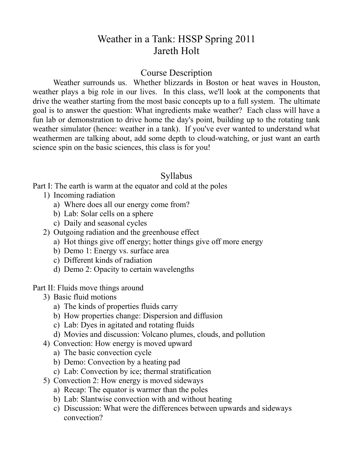# Weather in a Tank: HSSP Spring 2011 Jareth Holt

### Course Description

Weather surrounds us. Whether blizzards in Boston or heat waves in Houston, weather plays a big role in our lives. In this class, we'll look at the components that drive the weather starting from the most basic concepts up to a full system. The ultimate goal is to answer the question: What ingredients make weather? Each class will have a fun lab or demonstration to drive home the day's point, building up to the rotating tank weather simulator (hence: weather in a tank). If you've ever wanted to understand what weathermen are talking about, add some depth to cloud-watching, or just want an earth science spin on the basic sciences, this class is for you!

### Syllabus

Part I: The earth is warm at the equator and cold at the poles

- 1) Incoming radiation
	- a) Where does all our energy come from?
	- b) Lab: Solar cells on a sphere
	- c) Daily and seasonal cycles
- 2) Outgoing radiation and the greenhouse effect
	- a) Hot things give off energy; hotter things give off more energy
	- b) Demo 1: Energy vs. surface area
	- c) Different kinds of radiation
	- d) Demo 2: Opacity to certain wavelengths
- Part II: Fluids move things around
	- 3) Basic fluid motions
		- a) The kinds of properties fluids carry
		- b) How properties change: Dispersion and diffusion
		- c) Lab: Dyes in agitated and rotating fluids
		- d) Movies and discussion: Volcano plumes, clouds, and pollution
	- 4) Convection: How energy is moved upward
		- a) The basic convection cycle
		- b) Demo: Convection by a heating pad
		- c) Lab: Convection by ice; thermal stratification
	- 5) Convection 2: How energy is moved sideways
		- a) Recap: The equator is warmer than the poles
		- b) Lab: Slantwise convection with and without heating
		- c) Discussion: What were the differences between upwards and sideways convection?